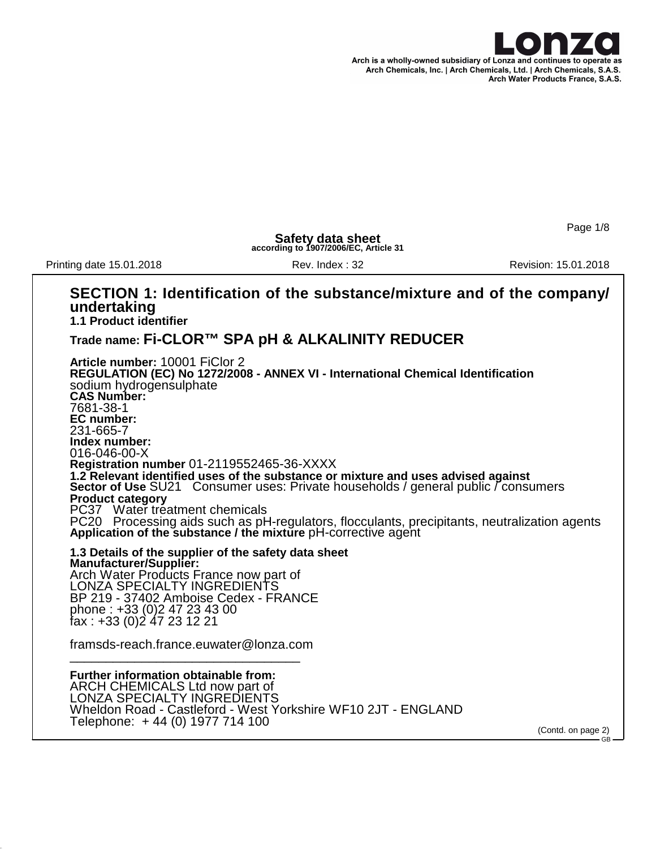

Page 1/8

**Safety data sheet according to 1907/2006/EC, Article 31**

Printing date 15.01.2018 **Rev. Index : 32** Rev. Index : 32 Revision: 15.01.2018

#### **SECTION 1: Identification of the substance/mixture and of the company/ undertaking 1.1 Product identifier Trade name: Fi-CLOR™ SPA pH & ALKALINITY REDUCER Article number:** 10001 FiClor 2 **REGULATION (EC) No 1272/2008 - ANNEX VI - International Chemical Identification** sodium hydrogensulphate **CAS Number:** 7681-38-1 **EC number:** 231-665-7 **Index number:** 016-046-00-X **Registration number** 01-2119552465-36-XXXX **1.2 Relevant identified uses of the substance or mixture and uses advised against Sector of Use** SU21 Consumer uses: Private households / general public / consumers **Product category** PC37 Water treatment chemicals PC20 Processing aids such as pH-regulators, flocculants, precipitants, neutralization agents **Application of the substance / the mixture** pH-corrective agent **1.3 Details of the supplier of the safety data sheet Manufacturer/Supplier:** Arch Water Products France now part of LONZA SPECIALTY INGREDIENTS BP 219 - 37402 Amboise Cedex - FRANCE phone : +33 (0)2 47 23 43 00 fax : +33 (0)2 47 23 12 21 framsds-reach.france.euwater@lonza.com \_\_\_\_\_\_\_\_\_\_\_\_\_\_\_\_\_\_\_\_\_\_\_\_\_\_\_\_\_\_\_\_ **Further information obtainable from:** ARCH CHEMICALS Ltd now part of LONZA SPECIALTY INGREDIENTS Wheldon Road - Castleford - West Yorkshire WF10 2JT - ENGLAND Telephone: + 44 (0) 1977 714 100 (Contd. on page 2) GB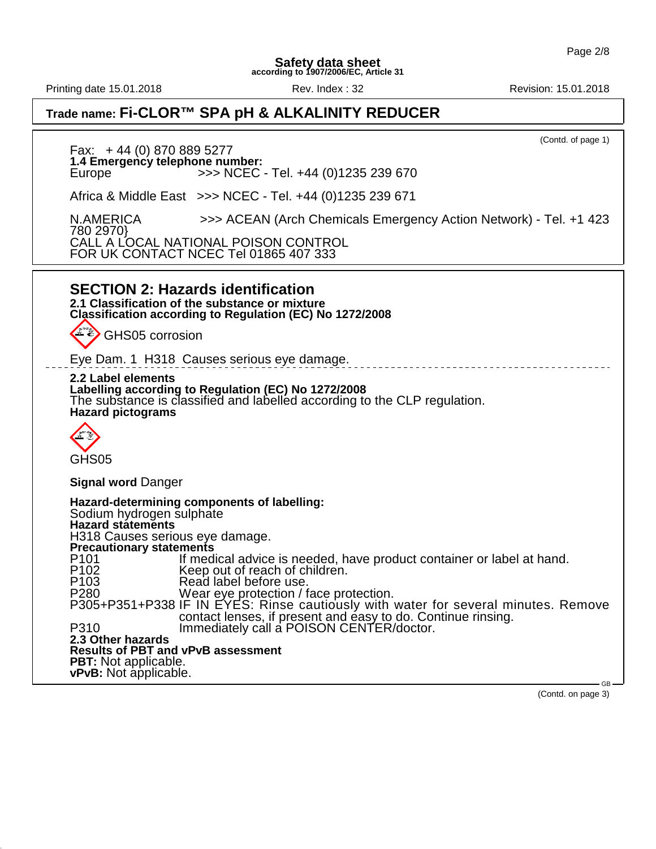Printing date 15.01.2018 **Rev. Index : 32** Rev. Index : 32 Revision: 15.01.2018

## **Trade name: Fi-CLOR™ SPA pH & ALKALINITY REDUCER**

(Contd. of page 1) Fax: + 44 (0) 870 889 5277 **1.4 Emergency telephone number:** Europe >>> NCEC - Tel. +44 (0)1235 239 670 Africa & Middle East >>> NCEC - Tel. +44 (0)1235 239 671 N.AMERICA >>> ACEAN (Arch Chemicals Emergency Action Network) - Tel. +1 423 780 2970} CALL A LOCAL NATIONAL POISON CONTROL FOR UK CONTACT NCEC Tel 01865 407 333 **SECTION 2: Hazards identification 2.1 Classification of the substance or mixture Classification according to Regulation (EC) No 1272/2008** GHS05 corrosion Eye Dam. 1 H318 Causes serious eye damage. **2.2 Label elements Labelling according to Regulation (EC) No 1272/2008** The substance is classified and labelled according to the CLP regulation. **Hazard pictograms** GHS05 **Signal word** Danger **Hazard-determining components of labelling:** Sodium hydrogen sulphate **Hazard statements** H318 Causes serious eye damage. **Precautionary statements**<br>P101 lf med P101 If medical advice is needed, have product container or label at hand.<br>P102 Reep out of reach of children. P102 Keep out of reach of children.<br>P103 Read label before use. Read label before use. P280 Wear eye protection / face protection. P305+P351+P338 IF IN EYES: Rinse cautiously with water for several minutes. Remove contact lenses, if present and easy to do. Continue rinsing. P310 Immediately call a POISON CENTER/doctor. **2.3 Other hazards Results of PBT and vPvB assessment PBT:** Not applicable. **vPvB:** Not applicable. GB

(Contd. on page 3)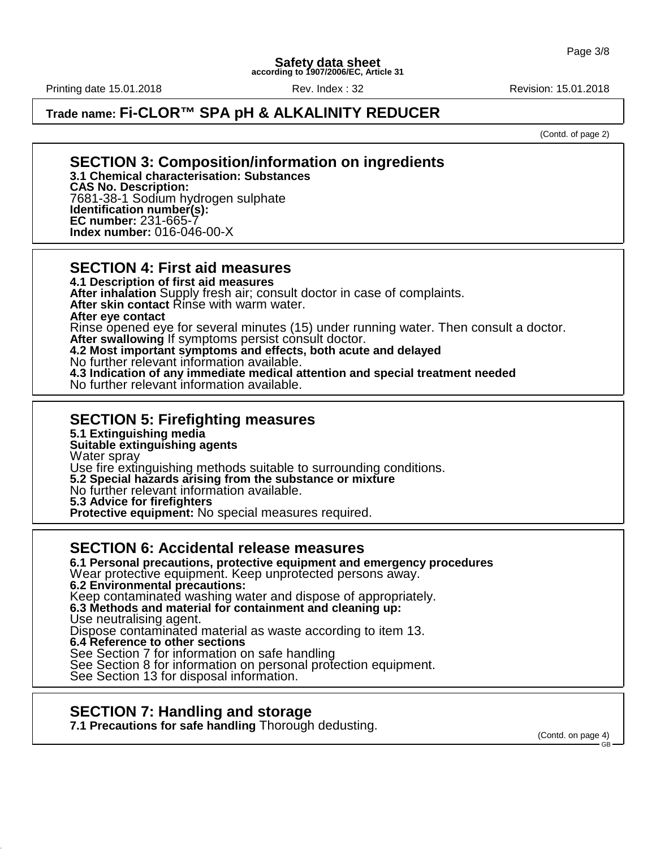Printing date 15.01.2018 **Rev. Index : 32** Rev. Index : 32 Revision: 15.01.2018

## **Trade name: Fi-CLOR™ SPA pH & ALKALINITY REDUCER**

(Contd. of page 2)

#### **SECTION 3: Composition/information on ingredients 3.1 Chemical characterisation: Substances**

**CAS No. Description:** 7681-38-1 Sodium hydrogen sulphate **Identification number(s): EC number:** 231-665-7 **Index number:** 016-046-00-X

#### **SECTION 4: First aid measures**

**4.1 Description of first aid measures After inhalation** Supply fresh air; consult doctor in case of complaints. After skin contact Rinse with warm water. **After eye contact** Rinse opened eye for several minutes (15) under running water. Then consult a doctor. **After swallowing** If symptoms persist consult doctor. **4.2 Most important symptoms and effects, both acute and delayed** No further relevant information available. **4.3 Indication of any immediate medical attention and special treatment needed**

No further relevant information available.

### **SECTION 5: Firefighting measures**

**5.1 Extinguishing media**

#### **Suitable extinguishing agents**

Water spray

Use fire extinguishing methods suitable to surrounding conditions.

**5.2 Special hazards arising from the substance or mixture**

No further relevant information available.

**5.3 Advice for firefighters**

**Protective equipment:** No special measures required.

#### **SECTION 6: Accidental release measures**

**6.1 Personal precautions, protective equipment and emergency procedures** Wear protective equipment. Keep unprotected persons away. **6.2 Environmental precautions:**

Keep contaminated washing water and dispose of appropriately.

**6.3 Methods and material for containment and cleaning up:**

Use neutralising agent.

Dispose contaminated material as waste according to item 13.

**6.4 Reference to other sections**

See Section 7 for information on safe handling

See Section 8 for information on personal protection equipment.

See Section 13 for disposal information.

### **SECTION 7: Handling and storage**

**7.1 Precautions for safe handling** Thorough dedusting.

(Contd. on page 4)

GB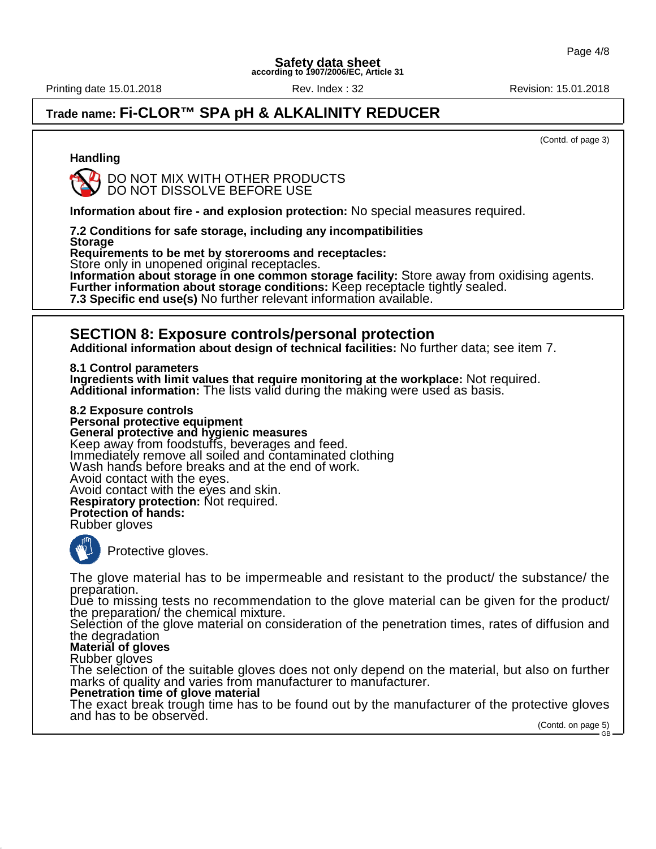Printing date 15.01.2018 **Rev. Index : 32** Rev. Index : 32 Revision: 15.01.2018

## **Trade name: Fi-CLOR™ SPA pH & ALKALINITY REDUCER**

(Contd. of page 3)

#### **Handling**



DO NOT MIX WITH OTHER PRODUCTS DO NOT DISSOLVE BEFORE USE

**Information about fire - and explosion protection:** No special measures required.

**7.2 Conditions for safe storage, including any incompatibilities Storage**

**Requirements to be met by storerooms and receptacles:**

Store only in unopened original receptacles.

**Information about storage in one common storage facility:** Store away from oxidising agents. **Further information about storage conditions:** Keep receptacle tightly sealed. **7.3 Specific end use(s)** No further relevant information available.

### **SECTION 8: Exposure controls/personal protection**

**Additional information about design of technical facilities:** No further data; see item 7.

**8.1 Control parameters Ingredients with limit values that require monitoring at the workplace:** Not required. **Additional information:** The lists valid during the making were used as basis.

**8.2 Exposure controls Personal protective equipment General protective and hygienic measures** Keep away from foodstuffs, beverages and feed. Immediately remove all soiled and contaminated clothing Wash hands before breaks and at the end of work. Avoid contact with the eyes. Avoid contact with the eyes and skin. **Respiratory protection:** Not required. **Protection of hands:** Rubber gloves



Protective gloves.

The glove material has to be impermeable and resistant to the product/ the substance/ the preparation.

Due to missing tests no recommendation to the glove material can be given for the product/ the preparation/ the chemical mixture.

Selection of the glove material on consideration of the penetration times, rates of diffusion and the degradation

**Material of gloves**

Rubber gloves

The selection of the suitable gloves does not only depend on the material, but also on further marks of quality and varies from manufacturer to manufacturer. **Penetration time of glove material**

The exact break trough time has to be found out by the manufacturer of the protective gloves and has to be observed.

(Contd. on page 5) GB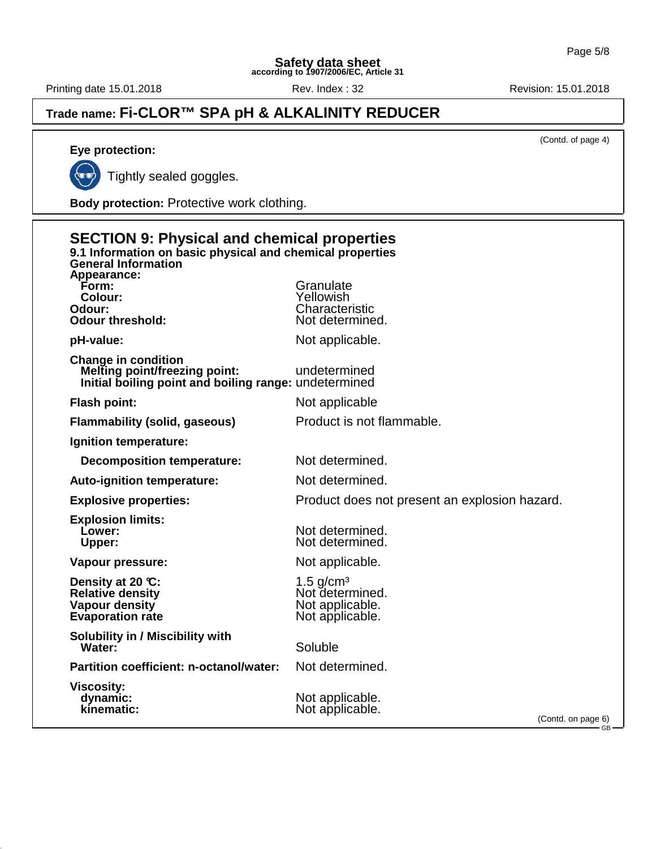Printing date 15.01.2018 **Rev. Index : 32** Rev. Index : 32 Revision: 15.01.2018

## **Trade name: Fi-CLOR™ SPA pH & ALKALINITY REDUCER**

(Contd. of page 4)

**Eye protection:**

ç.

Tightly sealed goggles.

**Body protection:** Protective work clothing.

| <b>SECTION 9: Physical and chemical properties</b><br>9.1 Information on basic physical and chemical properties<br><b>General Information</b><br>Appearance: |                                                                      |  |
|--------------------------------------------------------------------------------------------------------------------------------------------------------------|----------------------------------------------------------------------|--|
| Form:<br>Colour:<br>Odour:<br><b>Odour threshold:</b>                                                                                                        | Granulate<br>Yellowish<br>Characteristic<br>Not determined.          |  |
| pH-value:                                                                                                                                                    | Not applicable.                                                      |  |
| <b>Change in condition</b><br><b>Melting point/freezing point:</b><br>Initial boiling point and boiling range: undetermined                                  | undetermined                                                         |  |
| <b>Flash point:</b>                                                                                                                                          | Not applicable                                                       |  |
| <b>Flammability (solid, gaseous)</b>                                                                                                                         | Product is not flammable.                                            |  |
| Ignition temperature:                                                                                                                                        |                                                                      |  |
| <b>Decomposition temperature:</b>                                                                                                                            | Not determined.                                                      |  |
| Auto-ignition temperature:                                                                                                                                   | Not determined.                                                      |  |
| <b>Explosive properties:</b>                                                                                                                                 | Product does not present an explosion hazard.                        |  |
| <b>Explosion limits:</b><br>Lower:<br><b>Upper:</b>                                                                                                          | Not determined.<br>Not determined.                                   |  |
| Vapour pressure:                                                                                                                                             | Not applicable.                                                      |  |
| Density at 20 °C:<br><b>Relative density</b><br>Vapour density<br><b>Evaporation rate</b>                                                                    | 1.5 $g/cm3$<br>Not determined.<br>Not applicable.<br>Not applicable. |  |
| <b>Solubility in / Miscibility with</b><br>Water:                                                                                                            | Soluble                                                              |  |
| Partition coefficient: n-octanol/water:                                                                                                                      | Not determined.                                                      |  |
| <b>Viscosity:</b><br>dynamic:<br>kinematic:                                                                                                                  | Not applicable.<br>Not applicable.<br>(Contd. on page 6)<br>- GB —   |  |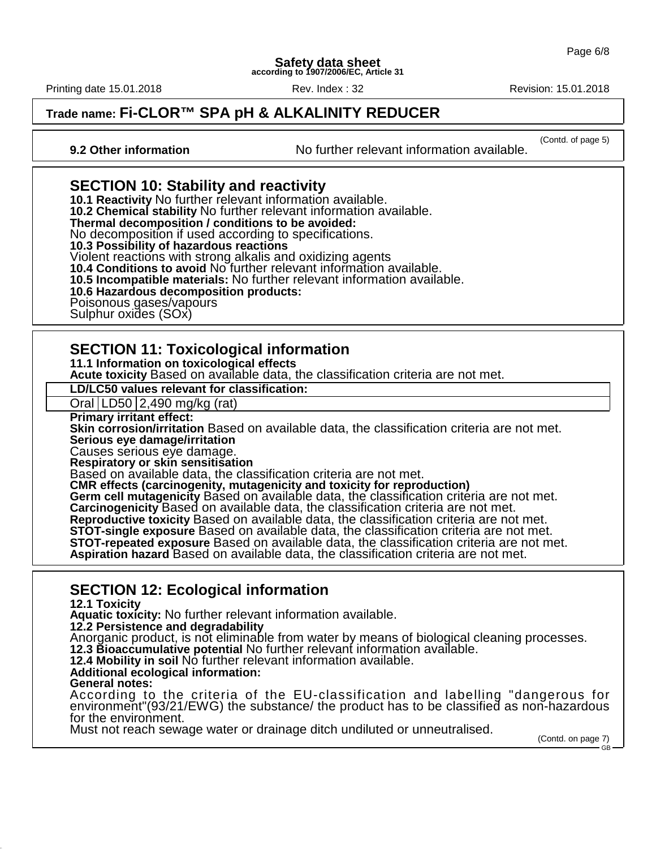Printing date 15.01.2018 **Rev. Index : 32** Rev. Index : 32 Revision: 15.01.2018

## **Trade name: Fi-CLOR™ SPA pH & ALKALINITY REDUCER**

(Contd. of page 5) **9.2 Other information** No further relevant information available.

## **SECTION 10: Stability and reactivity**

**10.1 Reactivity** No further relevant information available. **10.2 Chemical stability** No further relevant information available. **Thermal decomposition / conditions to be avoided:** No decomposition if used according to specifications. **10.3 Possibility of hazardous reactions**

Violent reactions with strong alkalis and oxidizing agents

**10.4 Conditions to avoid** No further relevant information available.

**10.5 Incompatible materials:** No further relevant information available.

#### **10.6 Hazardous decomposition products:**

Poisonous gases/vapours

Sulphur oxides (SOx)

### **SECTION 11: Toxicological information**

**11.1 Information on toxicological effects**

**Acute toxicity** Based on available data, the classification criteria are not met.

**LD/LC50 values relevant for classification:**

Oral LD50 2,490 mg/kg (rat)

**Primary irritant effect:**

**Skin corrosion/irritation** Based on available data, the classification criteria are not met. **Serious eye damage/irritation**

Causes serious eye damage.

**Respiratory or skin sensitisation**

Based on available data, the classification criteria are not met.

**CMR effects (carcinogenity, mutagenicity and toxicity for reproduction)** Germ cell mutagenicity Based on available data, the classification criteria are not met. **Carcinogenicity** Based on available data, the classification criteria are not met. **Reproductive toxicity** Based on available data, the classification criteria are not met. **STOT-single exposure** Based on available data, the classification criteria are not met. **STOT-repeated exposure** Based on available data, the classification criteria are not met.

**Aspiration hazard** Based on available data, the classification criteria are not met.

### **SECTION 12: Ecological information**

**12.1 Toxicity**

**Aquatic toxicity:** No further relevant information available.

**12.2 Persistence and degradability**

Anorganic product, is not eliminable from water by means of biological cleaning processes.

**12.3 Bioaccumulative potential** No further relevant information available.

**12.4 Mobility in soil** No further relevant information available.

#### **Additional ecological information: General notes:**

According to the criteria of the EU-classification and labelling "dangerous for environment"(93/21/EWG) the substance/ the product has to be classified as non-hazardous for the environment.

Must not reach sewage water or drainage ditch undiluted or unneutralised.

(Contd. on page 7) GB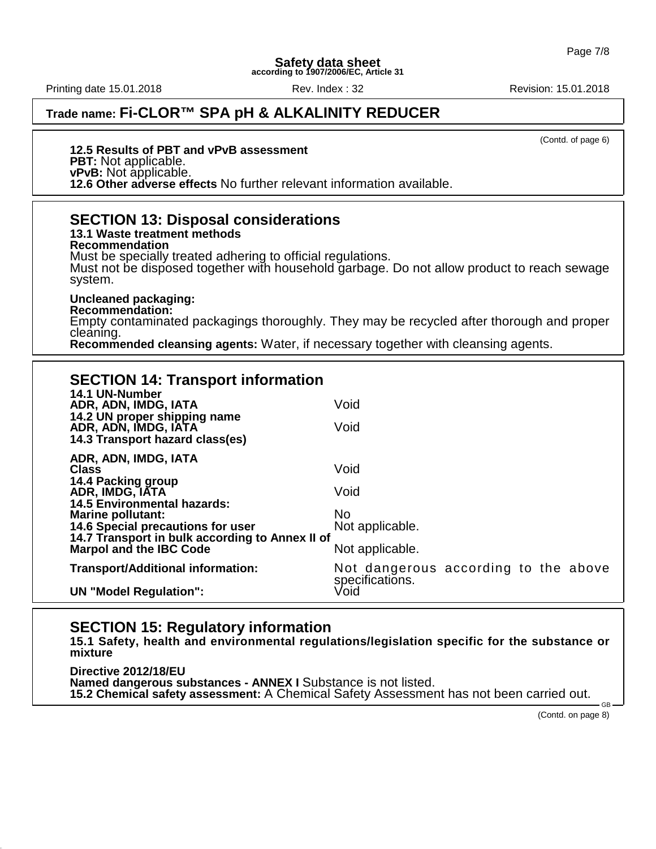Printing date 15.01.2018 **Rev. Index : 32** Rev. Index : 32 Revision: 15.01.2018

## **Trade name: Fi-CLOR™ SPA pH & ALKALINITY REDUCER**

(Contd. of page 6)

#### **12.5 Results of PBT and vPvB assessment PBT:** Not applicable. **vPvB:** Not applicable.

**12.6 Other adverse effects** No further relevant information available. **SECTION 13: Disposal considerations**

**13.1 Waste treatment methods Recommendation** Must be specially treated adhering to official regulations. Must not be disposed together with household garbage. Do not allow product to reach sewage system.

#### **Uncleaned packaging:**

**Recommendation:** Empty contaminated packagings thoroughly. They may be recycled after thorough and proper cleaning.

**Recommended cleansing agents:** Water, if necessary together with cleansing agents.

## **SECTION 14: Transport information**

| 14.1 UN-Number<br>ADR, ADN, IMDG, IATA<br>14.2 UN proper shipping name<br>ADR, ADN, IMDG, IATA<br>14.3 Transport hazard class(es)                                                                                                       | Void<br>Void                                                    |
|-----------------------------------------------------------------------------------------------------------------------------------------------------------------------------------------------------------------------------------------|-----------------------------------------------------------------|
| ADR, ADN, IMDG, IATA<br><b>Class</b><br>14.4 Packing group<br>ADR, IMDG, IATA<br><b>14.5 Environmental hazards:</b><br><b>Marine pollutant:</b><br>14.6 Special precautions for user<br>14.7 Transport in bulk according to Annex II of | Void<br>Void<br>No.<br>Not applicable.                          |
| <b>Marpol and the IBC Code</b>                                                                                                                                                                                                          | Not applicable.                                                 |
| <b>Transport/Additional information:</b><br><b>UN "Model Regulation":</b>                                                                                                                                                               | Not dangerous according to the above<br>specifications.<br>Void |
|                                                                                                                                                                                                                                         |                                                                 |

### **SECTION 15: Regulatory information**

**15.1 Safety, health and environmental regulations/legislation specific for the substance or mixture**

**Directive 2012/18/EU Named dangerous substances - ANNEX I** Substance is not listed. **15.2 Chemical safety assessment:** A Chemical Safety Assessment has not been carried out.

(Contd. on page 8)

GB